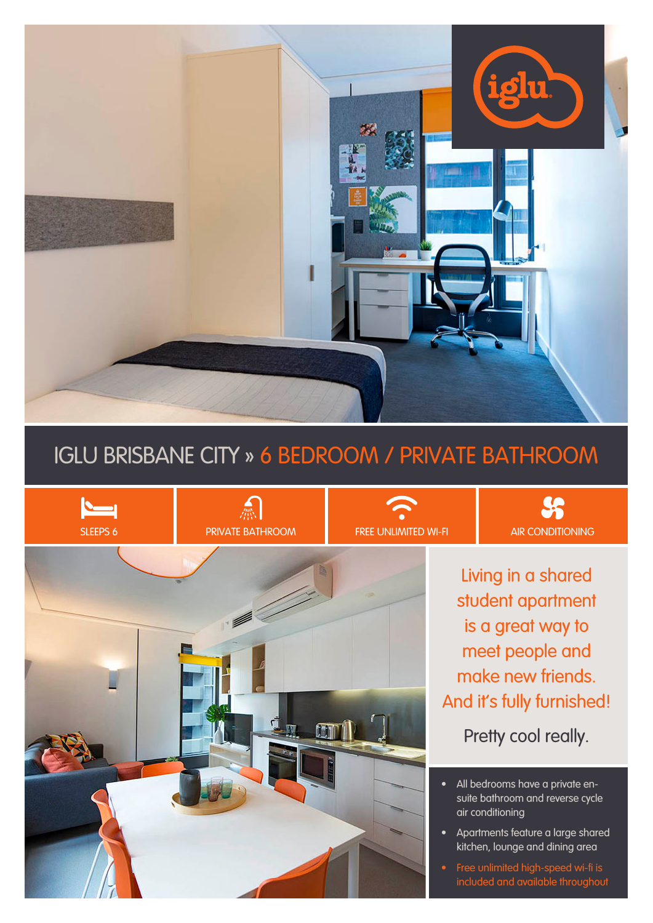

# IGLU BRISBANE CITY » 6 BEDROOM / PRIVATE BATHROOM



Living in a shared student apartment is a great way to meet people and make new friends. And it's fully furnished!

 $$S$ 

Pretty cool really.

- All bedrooms have a private ensuite bathroom and reverse cycle air conditioning
- Apartments feature a large shared kitchen, lounge and dining area
- Free unlimited high-speed wi-fi is included and available throughout